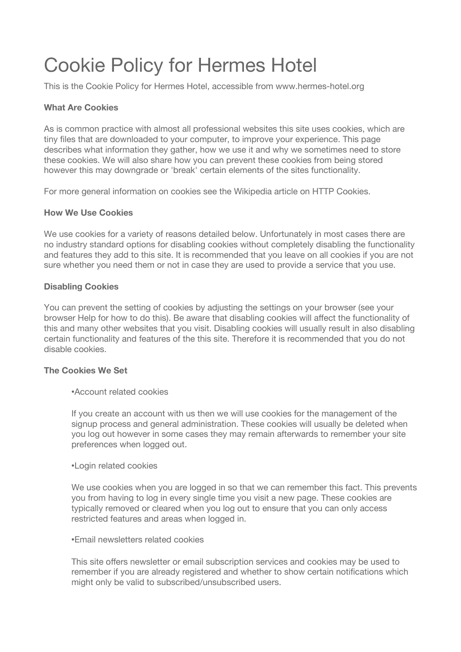# Cookie Policy for Hermes Hotel

This is the Cookie Policy for Hermes Hotel, accessible from www.hermes-hotel.org

## **What Are Cookies**

As is common practice with almost all professional websites this site uses cookies, which are tiny fles that are downloaded to your computer, to improve your experience. This page describes what information they gather, how we use it and why we sometimes need to store these cookies. We will also share how you can prevent these cookies from being stored however this may downgrade or 'break' certain elements of the sites functionality.

For more general information on cookies see the Wikipedia article on HTTP Cookies.

## **How We Use Cookies**

We use cookies for a variety of reasons detailed below. Unfortunately in most cases there are no industry standard options for disabling cookies without completely disabling the functionality and features they add to this site. It is recommended that you leave on all cookies if you are not sure whether you need them or not in case they are used to provide a service that you use.

## **Disabling Cookies**

You can prevent the setting of cookies by adjusting the settings on your browser (see your browser Help for how to do this). Be aware that disabling cookies will afect the functionality of this and many other websites that you visit. Disabling cookies will usually result in also disabling certain functionality and features of the this site. Therefore it is recommended that you do not disable cookies.

## **The Cookies We Set**

#### •Account related cookies

If you create an account with us then we will use cookies for the management of the signup process and general administration. These cookies will usually be deleted when you log out however in some cases they may remain afterwards to remember your site preferences when logged out.

#### •Login related cookies

We use cookies when you are logged in so that we can remember this fact. This prevents you from having to log in every single time you visit a new page. These cookies are typically removed or cleared when you log out to ensure that you can only access restricted features and areas when logged in.

•Email newsletters related cookies

This site offers newsletter or email subscription services and cookies may be used to remember if you are already registered and whether to show certain notifcations which might only be valid to subscribed/unsubscribed users.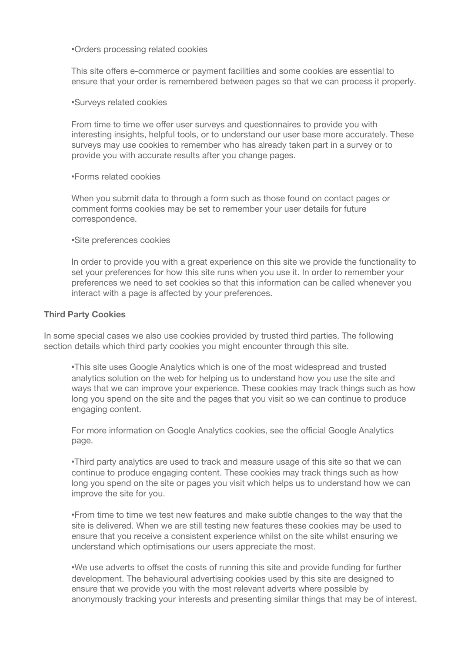### •Orders processing related cookies

This site ofers e-commerce or payment facilities and some cookies are essential to ensure that your order is remembered between pages so that we can process it properly.

#### •Surveys related cookies

From time to time we offer user surveys and questionnaires to provide you with interesting insights, helpful tools, or to understand our user base more accurately. These surveys may use cookies to remember who has already taken part in a survey or to provide you with accurate results after you change pages.

### •Forms related cookies

When you submit data to through a form such as those found on contact pages or comment forms cookies may be set to remember your user details for future correspondence.

•Site preferences cookies

In order to provide you with a great experience on this site we provide the functionality to set your preferences for how this site runs when you use it. In order to remember your preferences we need to set cookies so that this information can be called whenever you interact with a page is afected by your preferences.

## **Third Party Cookies**

In some special cases we also use cookies provided by trusted third parties. The following section details which third party cookies you might encounter through this site.

•This site uses Google Analytics which is one of the most widespread and trusted analytics solution on the web for helping us to understand how you use the site and ways that we can improve your experience. These cookies may track things such as how long you spend on the site and the pages that you visit so we can continue to produce engaging content.

For more information on Google Analytics cookies, see the official Google Analytics page.

•Third party analytics are used to track and measure usage of this site so that we can continue to produce engaging content. These cookies may track things such as how long you spend on the site or pages you visit which helps us to understand how we can improve the site for you.

•From time to time we test new features and make subtle changes to the way that the site is delivered. When we are still testing new features these cookies may be used to ensure that you receive a consistent experience whilst on the site whilst ensuring we understand which optimisations our users appreciate the most.

•We use adverts to ofset the costs of running this site and provide funding for further development. The behavioural advertising cookies used by this site are designed to ensure that we provide you with the most relevant adverts where possible by anonymously tracking your interests and presenting similar things that may be of interest.